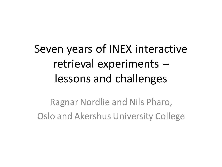# Seven years of INEX interactive retrieval experiments – lessons and challenges

Ragnar Nordlie and Nils Pharo, Oslo and Akershus University College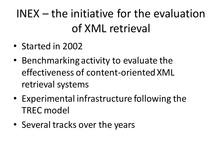# INEX – the initiative for the evaluation of XML retrieval

- Started in 2002
- Benchmarking activity to evaluate the effectiveness of content-oriented XML retrieval systems
- Experimental infrastructure following the TREC model
- Several tracks over the years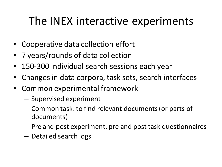#### The INEX interactive experiments

- Cooperative data collection effort
- 7 years/rounds of data collection
- 150-300 individual search sessions each year
- Changes in data corpora, task sets, search interfaces
- Common experimental framework
	- Supervised experiment
	- Common task: to find relevant documents(or parts of documents)
	- Pre and post experiment, pre and post task questionnaires
	- Detailed search logs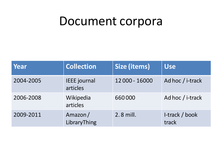#### Document corpora

| Year      | <b>Collection</b>               | <b>Size (items)</b> | <b>Use</b>              |
|-----------|---------------------------------|---------------------|-------------------------|
| 2004-2005 | <b>IEEE</b> journal<br>articles | 12 000 - 16000      | Ad hoc / i-track        |
| 2006-2008 | Wikipedia<br>articles           | 660000              | Ad hoc / i-track        |
| 2009-2011 | Amazon/<br>LibraryThing         | 2.8 mill.           | I-track / book<br>track |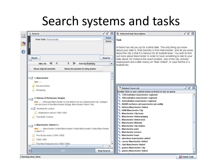## Search systems and tasks

|               | ≖ั⊠<br>⊠<br><b>C</b> Search                                                            | $\mathbf{u}^{\mathbf{c}}$ $\mathbf{u}^{\mathbf{r}}$<br>⊠<br>Selected task description                                                                                                                                      |  |
|---------------|----------------------------------------------------------------------------------------|----------------------------------------------------------------------------------------------------------------------------------------------------------------------------------------------------------------------------|--|
| Q             | Form<br>Free-Text: manchester<br>Query                                                 | Task                                                                                                                                                                                                                       |  |
| $\bm{\Theta}$ |                                                                                        | A friend has set you up for a blind date. The only thing you know<br>about your date is, that (he/she) is from Manchester, and all you know<br>about the city is that it is famous for its football team. You wish to find |  |
|               | Search<br>Reset                                                                        | out more about Manchester in order to have something to talk to your<br>date about, for instance the exact location, size of the city, primary<br>employment and a little history on "Man United", in case he/she is a     |  |
|               | ≪<br>⋙<br>∢<br>≫<br>Sort by: Ranking<br><b>Hits: 50</b><br>▼                           | football fan.                                                                                                                                                                                                              |  |
|               | Show only documents<br>Show documents & entry points                                   |                                                                                                                                                                                                                            |  |
|               | 9 1. Manchester                                                                        |                                                                                                                                                                                                                            |  |
|               |                                                                                        |                                                                                                                                                                                                                            |  |
|               | Recent history<br><b>Alla</b>                                                          |                                                                                                                                                                                                                            |  |
|               | - <sub>m</sub> Shopping                                                                | o" ø"<br>図<br>Related Term List                                                                                                                                                                                            |  |
|               |                                                                                        | Double Click or use context menu on items to use as query<br><sup>4</sup> t 1/5th battalion manchester regiment                                                                                                            |  |
|               | 2. History of Richmond, Virginia                                                       | <sup>e</sup> t 10th battalion manchester regiment                                                                                                                                                                          |  |
|               | 9 <sup>4</sup><br>Although Manchester is now defunct as an independent city, vestiges  | <sup>e</sup> r 2nd battalion manchester regiment                                                                                                                                                                           |  |
|               | can be found in the Manchester Bridge, Manchester Slave Trail,                         | <sup>e</sup> c 8b00ff northern rail manchester piccadilly                                                                                                                                                                  |  |
|               | $\overline{\bullet}$ Nineteenth century                                                | <sup>4</sup> t History Manchester United                                                                                                                                                                                   |  |
|               | $-$ <sub>km</sub> Antebellum period 1800-1860                                          | <sup>4</sup> c ISBN Manchester City<br><sup>4</sup> t Manchester City team                                                                                                                                                 |  |
|               | - <sub>in</sub> Twentieth Century                                                      | <sup>e</sup> Manchester United playing                                                                                                                                                                                     |  |
|               |                                                                                        | <b>Manchester United won</b>                                                                                                                                                                                               |  |
|               |                                                                                        | <b>C</b> Manchester Website                                                                                                                                                                                                |  |
|               | 3. Manchester United F.C.<br>م∩                                                        | <b>C</b> Manchester city station                                                                                                                                                                                           |  |
|               | ■■■■   Manchester United Manchester United Manchester United Manchester<br>United F.C. | <sup>e</sup> r Manchester park                                                                                                                                                                                             |  |
|               |                                                                                        | <b>Manchester service</b>                                                                                                                                                                                                  |  |
|               | The Busby years (1945-1969)<br>- L.T                                                   | <b>Manchester town</b><br>aberdeen manchester united                                                                                                                                                                       |  |
|               | 1969-1986<br>- 12                                                                      | career Manchester United                                                                                                                                                                                                   |  |
|               | The Alex Ferguson era (1986-1999)                                                      | club Manchester United                                                                                                                                                                                                     |  |
|               | ◀<br>Ш                                                                                 | games Manchester City                                                                                                                                                                                                      |  |
|               | <b>Stop Search</b><br>$100^\circ$                                                      | <b>C</b> games Manchester United                                                                                                                                                                                           |  |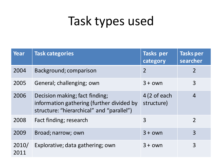# Task types used

| <b>Year</b>   | <b>Task categories</b>                                                                                                   | Tasks per<br>category                | Tasks per<br>searcher |
|---------------|--------------------------------------------------------------------------------------------------------------------------|--------------------------------------|-----------------------|
| 2004          | Background; comparison                                                                                                   | $\overline{2}$                       | $\overline{2}$        |
| 2005          | General; challenging; own                                                                                                | $3 + own$                            | 3                     |
| 2006          | Decision making; fact finding;<br>information gathering (further divided by<br>structure: "hierarchical" and "parallel") | $4(2 \text{ of each})$<br>structure) | $\overline{4}$        |
| 2008          | Fact finding; research                                                                                                   | 3                                    | $\mathcal{P}$         |
| 2009          | Broad; narrow; own                                                                                                       | $3 + own$                            | 3                     |
| 2010/<br>2011 | Explorative; data gathering; own                                                                                         | $3 + own$                            | 3                     |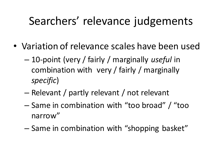#### Searchers' relevance judgements

- Variation of relevance scales have been used
	- 10-point (very / fairly / marginally *useful* in combination with very / fairly / marginally *specific*)
	- Relevant / partly relevant / not relevant
	- Same in combination with "too broad" / "too narrow"
	- Same in combination with "shopping basket"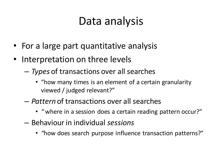#### Data analysis

- For a large part quantitative analysis
- Interpretation on three levels
	- *Types* of transactions over all searches
		- "how many times is an element of a certain granularity viewed / judged relevant?"
	- *Pattern* of transactions over all searches
		- *"* where in a session does a certain reading pattern occur?"
	- Behaviour in individual *sessions*
		- *"*how does search purpose influence transaction patterns?"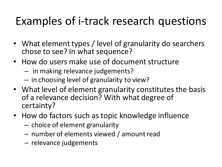## Examples of i-track research questions

- What element types / level of granularity do searchers chose to see? In what sequence?
- How do users make use of document structure
	- in making relevance judgements?
	- in choosing level of granularity to view?
- What level of element granularity constitutes the basis of a relevance decision? With what degree of certainty?
- How do factors such as topic knowledge influence
	- choice of element granularity
	- number of elements viewed / amount read
	- relevance judgements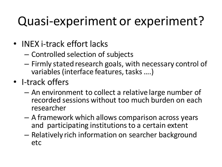# Quasi-experiment or experiment?

- INEX i-track effort lacks
	- Controlled selection of subjects
	- Firmly stated research goals, with necessary control of variables (interface features, tasks ….)
- I-track offers
	- An environment to collect a relative large number of recorded sessions without too much burden on each researcher
	- A framework which allows comparison across years and participating institutions to a certain extent
	- Relatively rich information on searcher background etc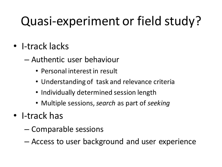# Quasi-experiment or field study?

- I-track lacks
	- Authentic user behaviour
		- Personal interest in result
		- Understanding of task and relevance criteria
		- Individually determined session length
		- Multiple sessions, *search* as part of *seeking*
- I-track has
	- Comparable sessions
	- Access to user background and user experience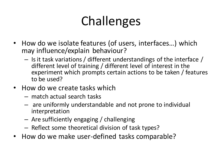# Challenges

- How do we isolate features (of users, interfaces…) which may influence/explain behaviour?
	- Is it task variations / different understandings of the interface / different level of training / different level of interest in the experiment which prompts certain actions to be taken / features to be used?
- How do we create tasks which
	- match actual search tasks
	- are uniformly understandable and not prone to individual interpretation
	- Are sufficiently engaging / challenging
	- Reflect some theoretical division of task types?
- How do we make user-defined tasks comparable?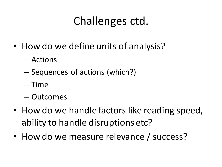## Challenges ctd.

- How do we define units of analysis?
	- Actions
	- Sequences of actions (which?)
	- Time
	- Outcomes
- How do we handle factors like reading speed, ability to handle disruptions etc?
- How do we measure relevance / success?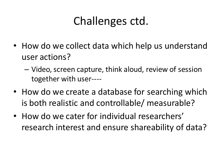## Challenges ctd.

- How do we collect data which help us understand user actions?
	- Video, screen capture, think aloud, review of session together with user----
- How do we create a database for searching which is both realistic and controllable/ measurable?
- How do we cater for individual researchers' research interest and ensure shareability of data?